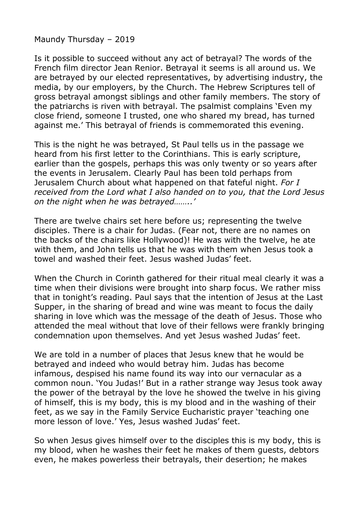Maundy Thursday – 2019

Is it possible to succeed without any act of betrayal? The words of the French film director Jean Renior. Betrayal it seems is all around us. We are betrayed by our elected representatives, by advertising industry, the media, by our employers, by the Church. The Hebrew Scriptures tell of gross betrayal amongst siblings and other family members. The story of the patriarchs is riven with betrayal. The psalmist complains 'Even my close friend, someone I trusted, one who shared my bread, has turned against me.' This betrayal of friends is commemorated this evening.

This is the night he was betrayed, St Paul tells us in the passage we heard from his first letter to the Corinthians. This is early scripture, earlier than the gospels, perhaps this was only twenty or so years after the events in Jerusalem. Clearly Paul has been told perhaps from Jerusalem Church about what happened on that fateful night. *For I received from the Lord what I also handed on to you, that the Lord Jesus on the night when he was betrayed……..'*

There are twelve chairs set here before us; representing the twelve disciples. There is a chair for Judas. (Fear not, there are no names on the backs of the chairs like Hollywood)! He was with the twelve, he ate with them, and John tells us that he was with them when Jesus took a towel and washed their feet. Jesus washed Judas' feet.

When the Church in Corinth gathered for their ritual meal clearly it was a time when their divisions were brought into sharp focus. We rather miss that in tonight's reading. Paul says that the intention of Jesus at the Last Supper, in the sharing of bread and wine was meant to focus the daily sharing in love which was the message of the death of Jesus. Those who attended the meal without that love of their fellows were frankly bringing condemnation upon themselves. And yet Jesus washed Judas' feet.

We are told in a number of places that Jesus knew that he would be betrayed and indeed who would betray him. Judas has become infamous, despised his name found its way into our vernacular as a common noun. 'You Judas!' But in a rather strange way Jesus took away the power of the betrayal by the love he showed the twelve in his giving of himself, this is my body, this is my blood and in the washing of their feet, as we say in the Family Service Eucharistic prayer 'teaching one more lesson of love.' Yes, Jesus washed Judas' feet.

So when Jesus gives himself over to the disciples this is my body, this is my blood, when he washes their feet he makes of them guests, debtors even, he makes powerless their betrayals, their desertion; he makes